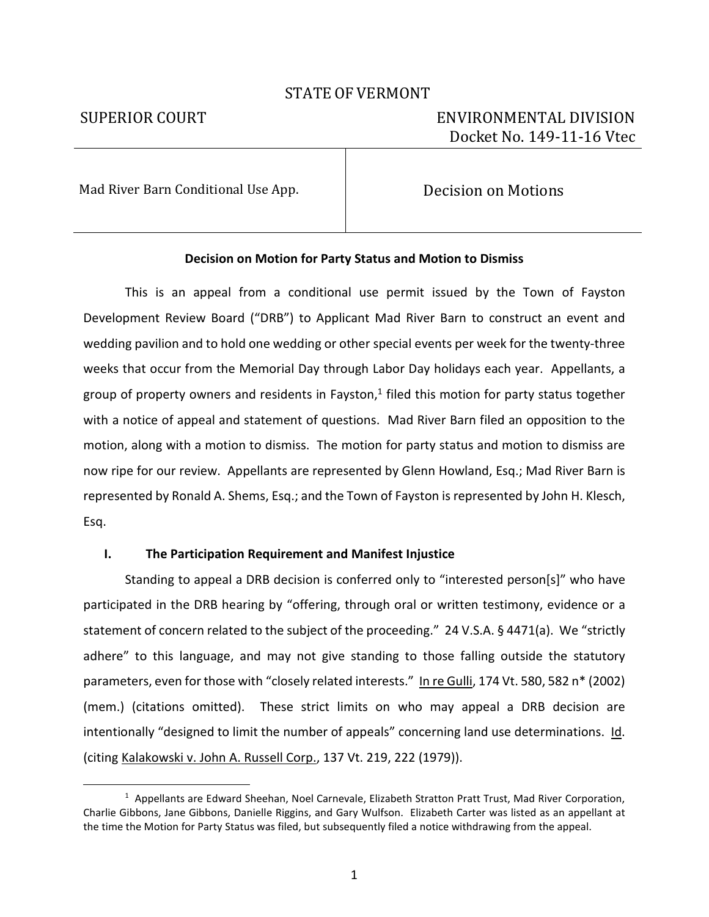## STATE OF VERMONT

1

# SUPERIOR COURT ENVIRONMENTAL DIVISION Docket No. 149-11-16 Vtec

Mad River Barn Conditional Use App. The Controllering Decision on Motions

### **Decision on Motion for Party Status and Motion to Dismiss**

This is an appeal from a conditional use permit issued by the Town of Fayston Development Review Board ("DRB") to Applicant Mad River Barn to construct an event and wedding pavilion and to hold one wedding or other special events per week for the twenty-three weeks that occur from the Memorial Day through Labor Day holidays each year. Appellants, a group of property owners and residents in Fayston, $^1$  filed this motion for party status together with a notice of appeal and statement of questions. Mad River Barn filed an opposition to the motion, along with a motion to dismiss. The motion for party status and motion to dismiss are now ripe for our review. Appellants are represented by Glenn Howland, Esq.; Mad River Barn is represented by Ronald A. Shems, Esq.; and the Town of Fayston is represented by John H. Klesch, Esq.

#### **I. The Participation Requirement and Manifest Injustice**

Standing to appeal a DRB decision is conferred only to "interested person[s]" who have participated in the DRB hearing by "offering, through oral or written testimony, evidence or a statement of concern related to the subject of the proceeding." 24 V.S.A. § 4471(a). We "strictly adhere" to this language, and may not give standing to those falling outside the statutory parameters, even for those with "closely related interests." In re Gulli, 174 Vt. 580, 582 n\* (2002) (mem.) (citations omitted). These strict limits on who may appeal a DRB decision are intentionally "designed to limit the number of appeals" concerning land use determinations. Id. (citing Kalakowski v. John A. Russell Corp., 137 Vt. 219, 222 (1979)).

<sup>&</sup>lt;sup>1</sup> Appellants are Edward Sheehan, Noel Carnevale, Elizabeth Stratton Pratt Trust, Mad River Corporation, Charlie Gibbons, Jane Gibbons, Danielle Riggins, and Gary Wulfson. Elizabeth Carter was listed as an appellant at the time the Motion for Party Status was filed, but subsequently filed a notice withdrawing from the appeal.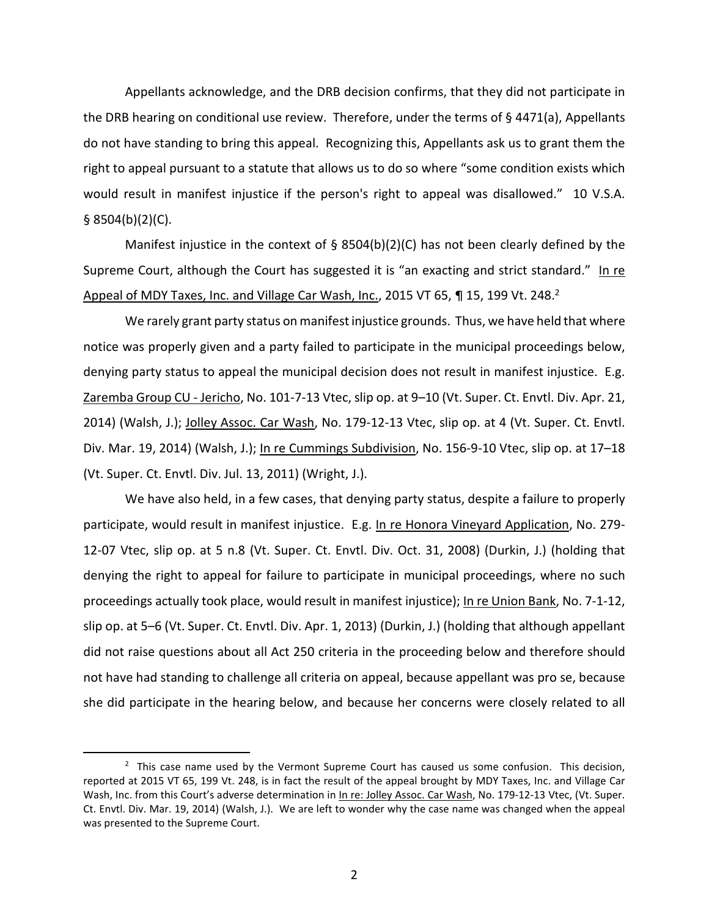Appellants acknowledge, and the DRB decision confirms, that they did not participate in the DRB hearing on conditional use review. Therefore, under the terms of § 4471(a), Appellants do not have standing to bring this appeal. Recognizing this, Appellants ask us to grant them the right to appeal pursuant to a statute that allows us to do so where "some condition exists which would result in manifest injustice if the person's right to appeal was disallowed." 10 V.S.A.  $§$  8504(b)(2)(C).

Manifest injustice in the context of § 8504(b)(2)(C) has not been clearly defined by the Supreme Court, although the Court has suggested it is "an exacting and strict standard." In re Appeal of MDY Taxes, Inc. and Village Car Wash, Inc., 2015 VT 65, ¶ 15, 199 Vt. 248.<sup>2</sup>

We rarely grant party status on manifest injustice grounds. Thus, we have held that where notice was properly given and a party failed to participate in the municipal proceedings below, denying party status to appeal the municipal decision does not result in manifest injustice. E.g. Zaremba Group CU - Jericho, No. 101-7-13 Vtec, slip op. at 9–10 (Vt. Super. Ct. Envtl. Div. Apr. 21, 2014) (Walsh, J.); Jolley Assoc. Car Wash, No. 179-12-13 Vtec, slip op. at 4 (Vt. Super. Ct. Envtl. Div. Mar. 19, 2014) (Walsh, J.); In re Cummings Subdivision, No. 156-9-10 Vtec, slip op. at 17–18 (Vt. Super. Ct. Envtl. Div. Jul. 13, 2011) (Wright, J.).

We have also held, in a few cases, that denying party status, despite a failure to properly participate, would result in manifest injustice. E.g. In re Honora Vineyard Application, No. 279- 12-07 Vtec, slip op. at 5 n.8 (Vt. Super. Ct. Envtl. Div. Oct. 31, 2008) (Durkin, J.) (holding that denying the right to appeal for failure to participate in municipal proceedings, where no such proceedings actually took place, would result in manifest injustice); In re Union Bank, No. 7-1-12, slip op. at 5–6 (Vt. Super. Ct. Envtl. Div. Apr. 1, 2013) (Durkin, J.) (holding that although appellant did not raise questions about all Act 250 criteria in the proceeding below and therefore should not have had standing to challenge all criteria on appeal, because appellant was pro se, because she did participate in the hearing below, and because her concerns were closely related to all

 $\overline{a}$ 

 $2$  This case name used by the Vermont Supreme Court has caused us some confusion. This decision, reported at 2015 VT 65, 199 Vt. 248, is in fact the result of the appeal brought by MDY Taxes, Inc. and Village Car Wash, Inc. from this Court's adverse determination in In re: Jolley Assoc. Car Wash, No. 179-12-13 Vtec, (Vt. Super. Ct. Envtl. Div. Mar. 19, 2014) (Walsh, J.). We are left to wonder why the case name was changed when the appeal was presented to the Supreme Court.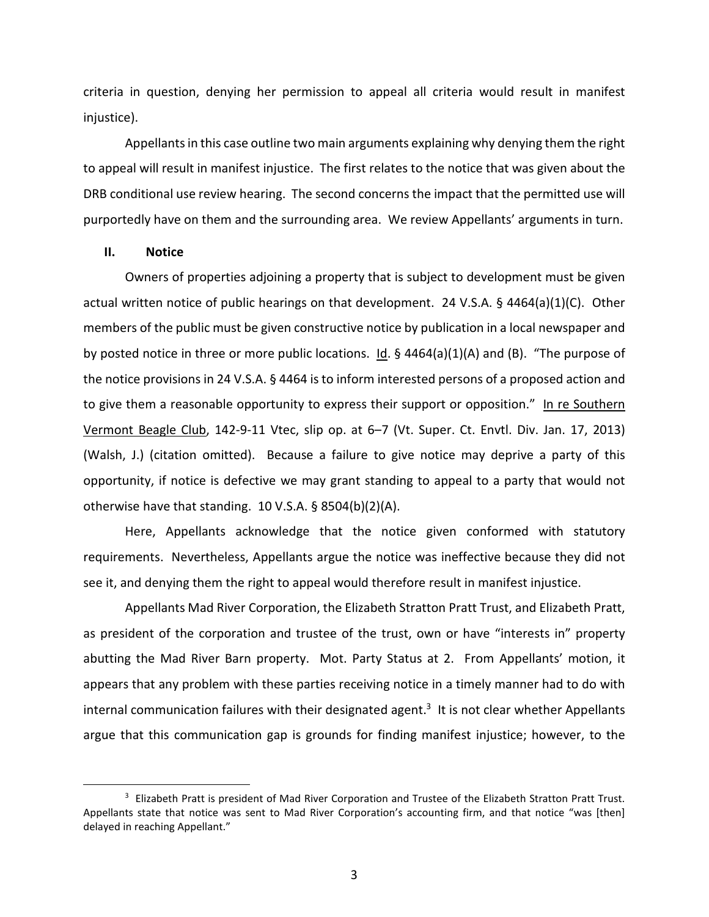criteria in question, denying her permission to appeal all criteria would result in manifest injustice).

Appellants in this case outline two main arguments explaining why denying them the right to appeal will result in manifest injustice. The first relates to the notice that was given about the DRB conditional use review hearing. The second concerns the impact that the permitted use will purportedly have on them and the surrounding area. We review Appellants' arguments in turn.

#### **II. Notice**

1

Owners of properties adjoining a property that is subject to development must be given actual written notice of public hearings on that development. 24 V.S.A. § 4464(a)(1)(C). Other members of the public must be given constructive notice by publication in a local newspaper and by posted notice in three or more public locations.  $Id.$  § 4464(a)(1)(A) and (B). "The purpose of the notice provisions in 24 V.S.A. § 4464 is to inform interested persons of a proposed action and to give them a reasonable opportunity to express their support or opposition." In re Southern Vermont Beagle Club, 142-9-11 Vtec, slip op. at 6–7 (Vt. Super. Ct. Envtl. Div. Jan. 17, 2013) (Walsh, J.) (citation omitted). Because a failure to give notice may deprive a party of this opportunity, if notice is defective we may grant standing to appeal to a party that would not otherwise have that standing. 10 V.S.A. § 8504(b)(2)(A).

Here, Appellants acknowledge that the notice given conformed with statutory requirements. Nevertheless, Appellants argue the notice was ineffective because they did not see it, and denying them the right to appeal would therefore result in manifest injustice.

Appellants Mad River Corporation, the Elizabeth Stratton Pratt Trust, and Elizabeth Pratt, as president of the corporation and trustee of the trust, own or have "interests in" property abutting the Mad River Barn property. Mot. Party Status at 2. From Appellants' motion, it appears that any problem with these parties receiving notice in a timely manner had to do with internal communication failures with their designated agent.<sup>3</sup> It is not clear whether Appellants argue that this communication gap is grounds for finding manifest injustice; however, to the

<sup>&</sup>lt;sup>3</sup> Elizabeth Pratt is president of Mad River Corporation and Trustee of the Elizabeth Stratton Pratt Trust. Appellants state that notice was sent to Mad River Corporation's accounting firm, and that notice "was [then] delayed in reaching Appellant."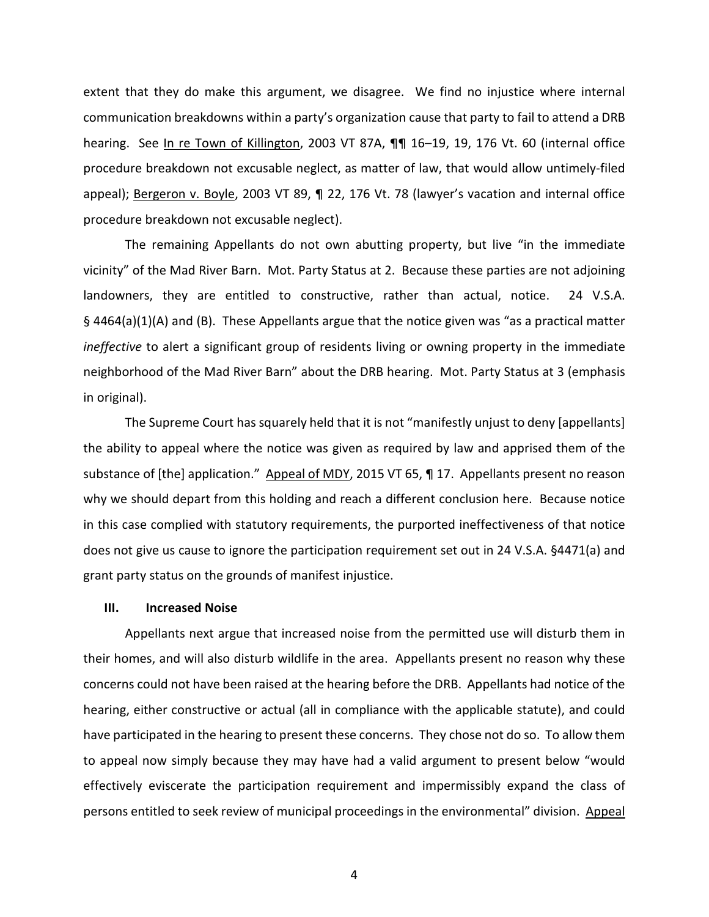extent that they do make this argument, we disagree. We find no injustice where internal communication breakdowns within a party's organization cause that party to fail to attend a DRB hearing. See In re Town of Killington, 2003 VT 87A, ¶¶ 16–19, 19, 176 Vt. 60 (internal office procedure breakdown not excusable neglect, as matter of law, that would allow untimely-filed appeal); Bergeron v. Boyle, 2003 VT 89, ¶ 22, 176 Vt. 78 (lawyer's vacation and internal office procedure breakdown not excusable neglect).

The remaining Appellants do not own abutting property, but live "in the immediate vicinity" of the Mad River Barn. Mot. Party Status at 2. Because these parties are not adjoining landowners, they are entitled to constructive, rather than actual, notice. 24 V.S.A. § 4464(a)(1)(A) and (B). These Appellants argue that the notice given was "as a practical matter *ineffective* to alert a significant group of residents living or owning property in the immediate neighborhood of the Mad River Barn" about the DRB hearing. Mot. Party Status at 3 (emphasis in original).

The Supreme Court has squarely held that it is not "manifestly unjust to deny [appellants] the ability to appeal where the notice was given as required by law and apprised them of the substance of [the] application." Appeal of MDY, 2015 VT 65, 1 17. Appellants present no reason why we should depart from this holding and reach a different conclusion here. Because notice in this case complied with statutory requirements, the purported ineffectiveness of that notice does not give us cause to ignore the participation requirement set out in 24 V.S.A. §4471(a) and grant party status on the grounds of manifest injustice.

#### **III. Increased Noise**

Appellants next argue that increased noise from the permitted use will disturb them in their homes, and will also disturb wildlife in the area. Appellants present no reason why these concerns could not have been raised at the hearing before the DRB. Appellants had notice of the hearing, either constructive or actual (all in compliance with the applicable statute), and could have participated in the hearing to present these concerns. They chose not do so. To allow them to appeal now simply because they may have had a valid argument to present below "would effectively eviscerate the participation requirement and impermissibly expand the class of persons entitled to seek review of municipal proceedings in the environmental" division. Appeal

4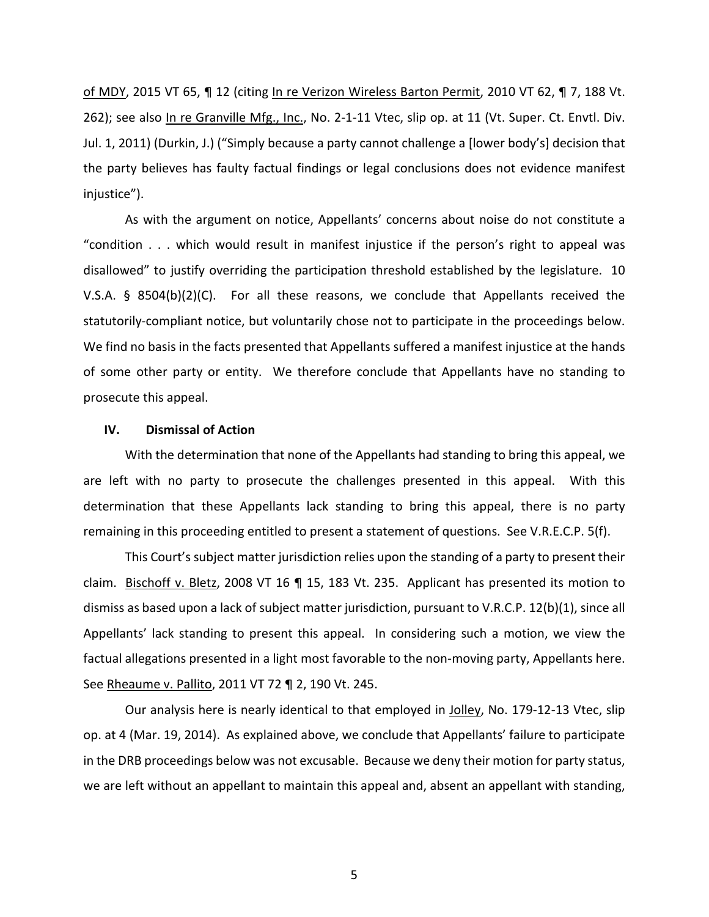of MDY, 2015 VT 65, ¶ 12 (citing In re Verizon Wireless Barton Permit, 2010 VT 62, ¶ 7, 188 Vt. 262); see also In re Granville Mfg., Inc., No. 2-1-11 Vtec, slip op. at 11 (Vt. Super. Ct. Envtl. Div. Jul. 1, 2011) (Durkin, J.) ("Simply because a party cannot challenge a [lower body's] decision that the party believes has faulty factual findings or legal conclusions does not evidence manifest injustice").

As with the argument on notice, Appellants' concerns about noise do not constitute a "condition . . . which would result in manifest injustice if the person's right to appeal was disallowed" to justify overriding the participation threshold established by the legislature. 10 V.S.A. § 8504(b)(2)(C). For all these reasons, we conclude that Appellants received the statutorily-compliant notice, but voluntarily chose not to participate in the proceedings below. We find no basis in the facts presented that Appellants suffered a manifest injustice at the hands of some other party or entity. We therefore conclude that Appellants have no standing to prosecute this appeal.

#### **IV. Dismissal of Action**

With the determination that none of the Appellants had standing to bring this appeal, we are left with no party to prosecute the challenges presented in this appeal. With this determination that these Appellants lack standing to bring this appeal, there is no party remaining in this proceeding entitled to present a statement of questions. See V.R.E.C.P. 5(f).

This Court's subject matter jurisdiction relies upon the standing of a party to present their claim. Bischoff v. Bletz, 2008 VT 16 ¶ 15, 183 Vt. 235. Applicant has presented its motion to dismiss as based upon a lack of subject matter jurisdiction, pursuant to V.R.C.P. 12(b)(1), since all Appellants' lack standing to present this appeal. In considering such a motion, we view the factual allegations presented in a light most favorable to the non-moving party, Appellants here. See Rheaume v. Pallito, 2011 VT 72 ¶ 2, 190 Vt. 245.

Our analysis here is nearly identical to that employed in Jolley, No. 179-12-13 Vtec, slip op. at 4 (Mar. 19, 2014). As explained above, we conclude that Appellants' failure to participate in the DRB proceedings below was not excusable. Because we deny their motion for party status, we are left without an appellant to maintain this appeal and, absent an appellant with standing,

5